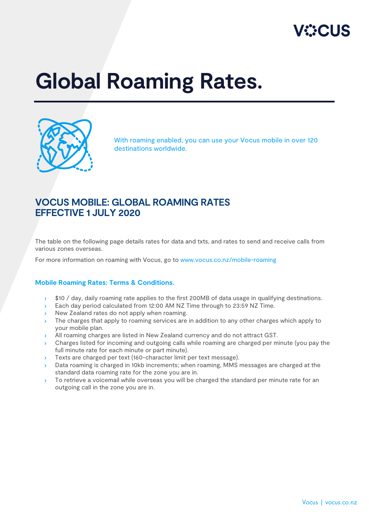

## **Global Roaming Rates.**



With roaming enabled, you can use your Vocus mobile in over 120 destinations worldwide.

## **VOCUS MOBILE: GLOBAL ROAMING RATES EFFECTIVE 1 JULY 2020**

The table on the following page details rates for data and txts, and rates to send and receive calls from various zones overseas.

For more information on roaming with Vocus, go to [www.vocus.co.nz/mobile-roaming](http://www.vocus.co.nz/mobile-roaming)

## **Mobile Roaming Rates: Terms & Conditions.**

- › \$10 / day, daily roaming rate applies to the first 200MB of data usage in qualifying destinations.
- › Each day period calculated from 12:00 AM NZ Time through to 23:59 NZ Time.
- **In New Zealand rates do not apply when roaming.**
- › The charges that apply to roaming services are in addition to any other charges which apply to your mobile plan.
- › All roaming charges are listed in New Zealand currency and do not attract GST.
- › Charges listed for incoming and outgoing calls while roaming are charged per minute (you pay the full minute rate for each minute or part minute).
- > Texts are charged per text (160-character limit per text message).
- › Data roaming is charged in 10kb increments; when roaming, MMS messages are charged at the standard data roaming rate for the zone you are in.
- > To retrieve a voicemail while overseas you will be charged the standard per minute rate for an outgoing call in the zone you are in.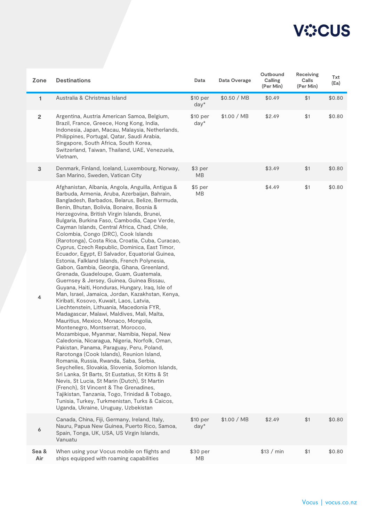

| Zone           | <b>Destinations</b>                                                                                                                                                                                                                                                                                                                                                                                                                                                                                                                                                                                                                                                                                                                                                                                                                                                                                                                                                                                                                                                                                                                                                                                                                                                                                                                                                                                                                                                                                                                                                                                                                          | Data                  | Data Overage | Outbound<br>Calling<br>(Per Min) | Receiving<br>Calls<br>(Per Min) | Txt<br>(Ea) |
|----------------|----------------------------------------------------------------------------------------------------------------------------------------------------------------------------------------------------------------------------------------------------------------------------------------------------------------------------------------------------------------------------------------------------------------------------------------------------------------------------------------------------------------------------------------------------------------------------------------------------------------------------------------------------------------------------------------------------------------------------------------------------------------------------------------------------------------------------------------------------------------------------------------------------------------------------------------------------------------------------------------------------------------------------------------------------------------------------------------------------------------------------------------------------------------------------------------------------------------------------------------------------------------------------------------------------------------------------------------------------------------------------------------------------------------------------------------------------------------------------------------------------------------------------------------------------------------------------------------------------------------------------------------------|-----------------------|--------------|----------------------------------|---------------------------------|-------------|
| $\mathbf{1}$   | Australia & Christmas Island                                                                                                                                                                                                                                                                                                                                                                                                                                                                                                                                                                                                                                                                                                                                                                                                                                                                                                                                                                                                                                                                                                                                                                                                                                                                                                                                                                                                                                                                                                                                                                                                                 | \$10 per<br>$day*$    | \$0.50 / MB  | \$0.49                           | \$1                             | \$0.80      |
| $\overline{2}$ | Argentina, Austria American Samoa, Belgium,<br>Brazil, France, Greece, Hong Kong, India,<br>Indonesia, Japan, Macau, Malaysia, Netherlands,<br>Philippines, Portugal, Qatar, Saudi Arabia,<br>Singapore, South Africa, South Korea,<br>Switzerland, Taiwan, Thailand, UAE, Venezuela,<br>Vietnam,                                                                                                                                                                                                                                                                                                                                                                                                                                                                                                                                                                                                                                                                                                                                                                                                                                                                                                                                                                                                                                                                                                                                                                                                                                                                                                                                            | \$10 per<br>day*      | \$1.00 / MB  | \$2.49                           | \$1                             | \$0.80      |
| $\mathbf{3}$   | Denmark, Finland, Iceland, Luxembourg, Norway,<br>San Marino, Sweden, Vatican City                                                                                                                                                                                                                                                                                                                                                                                                                                                                                                                                                                                                                                                                                                                                                                                                                                                                                                                                                                                                                                                                                                                                                                                                                                                                                                                                                                                                                                                                                                                                                           | \$3 per<br><b>MB</b>  |              | \$3.49                           | \$1                             | \$0.80      |
| 4              | Afghanistan, Albania, Angola, Anguilla, Antigua &<br>Barbuda, Armenia, Aruba, Azerbaijan, Bahrain,<br>Bangladesh, Barbados, Belarus, Belize, Bermuda,<br>Benin, Bhutan, Bolivia, Bonaire, Bosnia &<br>Herzegovina, British Virgin Islands, Brunei,<br>Bulgaria, Burkina Faso, Cambodia, Cape Verde,<br>Cayman Islands, Central Africa, Chad, Chile,<br>Colombia, Congo (DRC), Cook Islands<br>(Rarotonga), Costa Rica, Croatia, Cuba, Curacao,<br>Cyprus, Czech Republic, Dominica, East Timor,<br>Ecuador, Egypt, El Salvador, Equatorial Guinea,<br>Estonia, Falkland Islands, French Polynesia,<br>Gabon, Gambia, Georgia, Ghana, Greenland,<br>Grenada, Guadeloupe, Guam, Guatemala,<br>Guernsey & Jersey, Guinea, Guinea Bissau,<br>Guyana, Haiti, Honduras, Hungary, Iraq, Isle of<br>Man, Israel, Jamaica, Jordan, Kazakhstan, Kenya,<br>Kiribati, Kosovo, Kuwait, Laos, Latvia,<br>Liechtenstein, Lithuania, Macedonia FYR,<br>Madagascar, Malawi, Maldives, Mali, Malta,<br>Mauritius, Mexico, Monaco, Mongolia,<br>Montenegro, Montserrat, Morocco,<br>Mozambique, Myanmar, Namibia, Nepal, New<br>Caledonia, Nicaragua, Nigeria, Norfolk, Oman,<br>Pakistan, Panama, Paraguay, Peru, Poland,<br>Rarotonga (Cook Islands), Reunion Island,<br>Romania, Russia, Rwanda, Saba, Serbia,<br>Seychelles, Slovakia, Slovenia, Solomon Islands,<br>Sri Lanka, St Barts, St Eustatius, St Kitts & St<br>Nevis, St Lucia, St Marin (Dutch), St Martin<br>(French), St Vincent & The Grenadines,<br>Tajikistan, Tanzania, Togo, Trinidad & Tobago,<br>Tunisia, Turkey, Turkmenistan, Turks & Caicos,<br>Uganda, Ukraine, Uruguay, Uzbekistan | $$5$ per<br><b>MB</b> |              | \$4.49                           | \$1                             | \$0.80      |
| 6              | Canada, China, Fiji, Germany, Ireland, Italy,<br>Nauru, Papua New Guinea, Puerto Rico, Samoa,<br>Spain, Tonga, UK, USA, US Virgin Islands,<br>Vanuatu                                                                                                                                                                                                                                                                                                                                                                                                                                                                                                                                                                                                                                                                                                                                                                                                                                                                                                                                                                                                                                                                                                                                                                                                                                                                                                                                                                                                                                                                                        | \$10 per<br>$day^*$   | \$1.00 / MB  | \$2.49                           | \$1                             | \$0.80      |
| Sea &<br>Air   | When using your Vocus mobile on flights and<br>ships equipped with roaming capabilities                                                                                                                                                                                                                                                                                                                                                                                                                                                                                                                                                                                                                                                                                                                                                                                                                                                                                                                                                                                                                                                                                                                                                                                                                                                                                                                                                                                                                                                                                                                                                      | \$30 per<br><b>MB</b> |              | \$13 / min                       | \$1                             | \$0.80      |